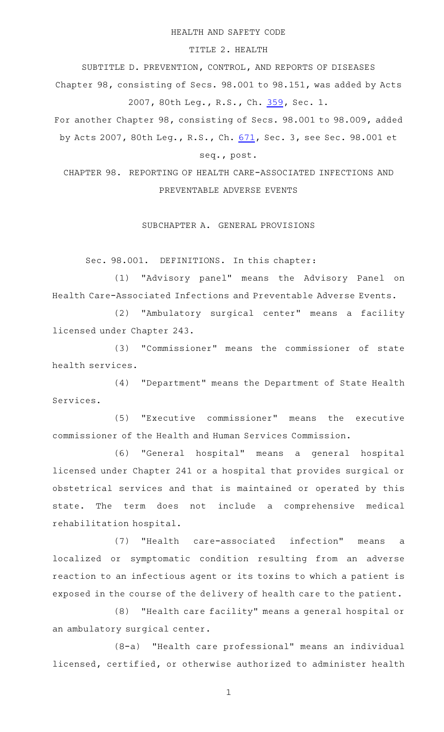#### HEALTH AND SAFETY CODE

## TITLE 2. HEALTH

SUBTITLE D. PREVENTION, CONTROL, AND REPORTS OF DISEASES

Chapter 98, consisting of Secs. 98.001 to 98.151, was added by Acts 2007, 80th Leg., R.S., Ch. [359,](http://www.legis.state.tx.us/tlodocs/80R/billtext/html/SB00288F.HTM) Sec. 1.

For another Chapter 98, consisting of Secs. 98.001 to 98.009, added by Acts 2007, 80th Leg., R.S., Ch. [671](http://www.legis.state.tx.us/tlodocs/80R/billtext/html/HB01373F.HTM), Sec. 3, see Sec. 98.001 et seq., post.

# CHAPTER 98. REPORTING OF HEALTH CARE-ASSOCIATED INFECTIONS AND PREVENTABLE ADVERSE EVENTS

## SUBCHAPTER A. GENERAL PROVISIONS

Sec. 98.001. DEFINITIONS. In this chapter:

(1) "Advisory panel" means the Advisory Panel on Health Care-Associated Infections and Preventable Adverse Events.

(2) "Ambulatory surgical center" means a facility licensed under Chapter 243.

(3) "Commissioner" means the commissioner of state health services.

(4) "Department" means the Department of State Health Services.

(5) "Executive commissioner" means the executive commissioner of the Health and Human Services Commission.

(6) "General hospital" means a general hospital licensed under Chapter 241 or a hospital that provides surgical or obstetrical services and that is maintained or operated by this state. The term does not include a comprehensive medical rehabilitation hospital.

(7) "Health care-associated infection" means a localized or symptomatic condition resulting from an adverse reaction to an infectious agent or its toxins to which a patient is exposed in the course of the delivery of health care to the patient.

(8) "Health care facility" means a general hospital or an ambulatory surgical center.

(8-a) "Health care professional" means an individual licensed, certified, or otherwise authorized to administer health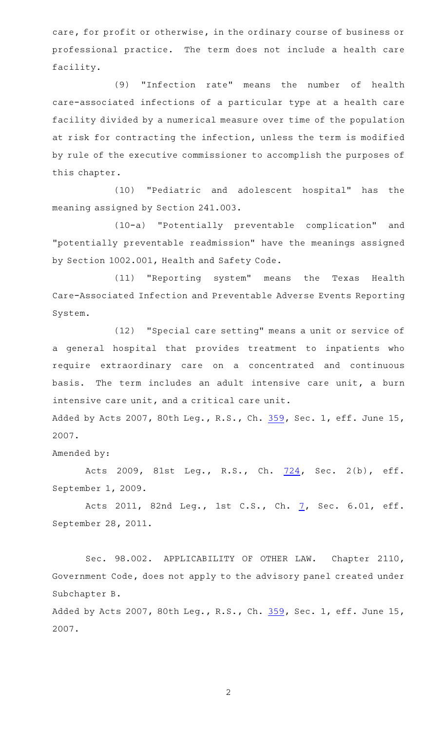care, for profit or otherwise, in the ordinary course of business or professional practice. The term does not include a health care facility.

(9) "Infection rate" means the number of health care-associated infections of a particular type at a health care facility divided by a numerical measure over time of the population at risk for contracting the infection, unless the term is modified by rule of the executive commissioner to accomplish the purposes of this chapter.

(10) "Pediatric and adolescent hospital" has the meaning assigned by Section 241.003.

(10-a) "Potentially preventable complication" and "potentially preventable readmission" have the meanings assigned by Section 1002.001, Health and Safety Code.

(11) "Reporting system" means the Texas Health Care-Associated Infection and Preventable Adverse Events Reporting System.

(12) "Special care setting" means a unit or service of a general hospital that provides treatment to inpatients who require extraordinary care on a concentrated and continuous basis. The term includes an adult intensive care unit, a burn intensive care unit, and a critical care unit.

Added by Acts 2007, 80th Leg., R.S., Ch. [359,](http://www.legis.state.tx.us/tlodocs/80R/billtext/html/SB00288F.HTM) Sec. 1, eff. June 15, 2007.

Amended by:

Acts 2009, 81st Leg., R.S., Ch. [724,](http://www.legis.state.tx.us/tlodocs/81R/billtext/html/SB00203F.HTM) Sec. 2(b), eff. September 1, 2009.

Acts 2011, 82nd Leg., 1st C.S., Ch. [7,](http://www.legis.state.tx.us/tlodocs/821/billtext/html/SB00007F.HTM) Sec. 6.01, eff. September 28, 2011.

Sec. 98.002. APPLICABILITY OF OTHER LAW. Chapter 2110, Government Code, does not apply to the advisory panel created under Subchapter B.

Added by Acts 2007, 80th Leg., R.S., Ch. [359,](http://www.legis.state.tx.us/tlodocs/80R/billtext/html/SB00288F.HTM) Sec. 1, eff. June 15, 2007.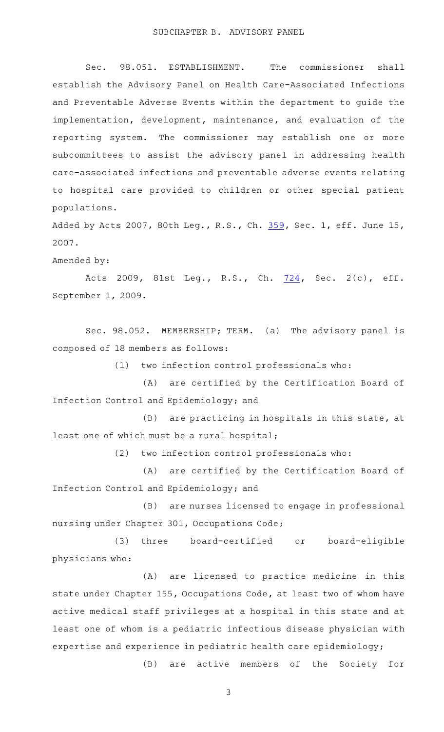Sec. 98.051. ESTABLISHMENT. The commissioner shall establish the Advisory Panel on Health Care-Associated Infections and Preventable Adverse Events within the department to guide the implementation, development, maintenance, and evaluation of the reporting system. The commissioner may establish one or more subcommittees to assist the advisory panel in addressing health care-associated infections and preventable adverse events relating to hospital care provided to children or other special patient populations.

Added by Acts 2007, 80th Leg., R.S., Ch. [359,](http://www.legis.state.tx.us/tlodocs/80R/billtext/html/SB00288F.HTM) Sec. 1, eff. June 15, 2007.

Amended by:

Acts 2009, 81st Leg., R.S., Ch. [724,](http://www.legis.state.tx.us/tlodocs/81R/billtext/html/SB00203F.HTM) Sec. 2(c), eff. September 1, 2009.

Sec. 98.052. MEMBERSHIP; TERM. (a) The advisory panel is composed of 18 members as follows:

 $(1)$  two infection control professionals who:

(A) are certified by the Certification Board of Infection Control and Epidemiology; and

 $(B)$  are practicing in hospitals in this state, at least one of which must be a rural hospital;

 $(2)$  two infection control professionals who:

(A) are certified by the Certification Board of Infection Control and Epidemiology; and

(B) are nurses licensed to engage in professional nursing under Chapter 301, Occupations Code;

(3) three board-certified or board-eligible physicians who:

(A) are licensed to practice medicine in this state under Chapter 155, Occupations Code, at least two of whom have active medical staff privileges at a hospital in this state and at least one of whom is a pediatric infectious disease physician with expertise and experience in pediatric health care epidemiology;

(B) are active members of the Society for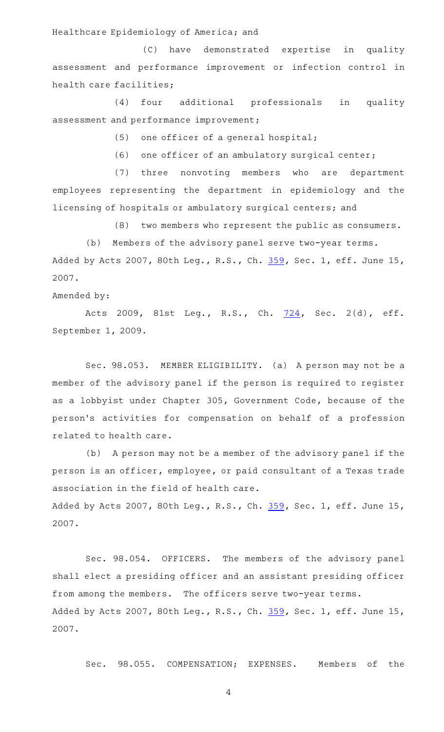### Healthcare Epidemiology of America; and

(C) have demonstrated expertise in quality assessment and performance improvement or infection control in health care facilities;

(4) four additional professionals in quality assessment and performance improvement;

 $(5)$  one officer of a general hospital;

(6) one officer of an ambulatory surgical center;

(7) three nonvoting members who are department employees representing the department in epidemiology and the licensing of hospitals or ambulatory surgical centers; and

(8) two members who represent the public as consumers.

(b) Members of the advisory panel serve two-year terms. Added by Acts 2007, 80th Leg., R.S., Ch. [359,](http://www.legis.state.tx.us/tlodocs/80R/billtext/html/SB00288F.HTM) Sec. 1, eff. June 15, 2007.

### Amended by:

Acts 2009, 81st Leg., R.S., Ch. [724,](http://www.legis.state.tx.us/tlodocs/81R/billtext/html/SB00203F.HTM) Sec. 2(d), eff. September 1, 2009.

Sec. 98.053. MEMBER ELIGIBILITY. (a) A person may not be a member of the advisory panel if the person is required to register as a lobbyist under Chapter 305, Government Code, because of the person 's activities for compensation on behalf of a profession related to health care.

(b) A person may not be a member of the advisory panel if the person is an officer, employee, or paid consultant of a Texas trade association in the field of health care. Added by Acts 2007, 80th Leg., R.S., Ch. [359,](http://www.legis.state.tx.us/tlodocs/80R/billtext/html/SB00288F.HTM) Sec. 1, eff. June 15, 2007.

Sec. 98.054. OFFICERS. The members of the advisory panel shall elect a presiding officer and an assistant presiding officer from among the members. The officers serve two-year terms. Added by Acts 2007, 80th Leg., R.S., Ch. [359,](http://www.legis.state.tx.us/tlodocs/80R/billtext/html/SB00288F.HTM) Sec. 1, eff. June 15, 2007.

Sec. 98.055. COMPENSATION; EXPENSES. Members of the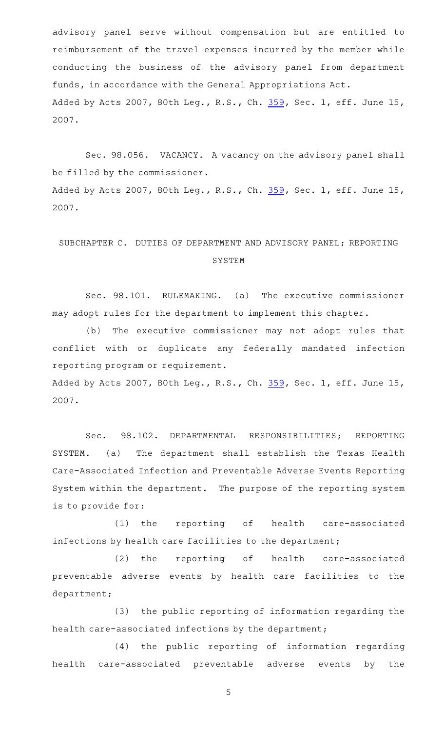advisory panel serve without compensation but are entitled to reimbursement of the travel expenses incurred by the member while conducting the business of the advisory panel from department funds, in accordance with the General Appropriations Act. Added by Acts 2007, 80th Leg., R.S., Ch. [359,](http://www.legis.state.tx.us/tlodocs/80R/billtext/html/SB00288F.HTM) Sec. 1, eff. June 15, 2007.

Sec. 98.056. VACANCY. A vacancy on the advisory panel shall be filled by the commissioner. Added by Acts 2007, 80th Leg., R.S., Ch. [359,](http://www.legis.state.tx.us/tlodocs/80R/billtext/html/SB00288F.HTM) Sec. 1, eff. June 15, 2007.

# SUBCHAPTER C. DUTIES OF DEPARTMENT AND ADVISORY PANEL; REPORTING SYSTEM

Sec. 98.101. RULEMAKING. (a) The executive commissioner may adopt rules for the department to implement this chapter.

(b) The executive commissioner may not adopt rules that conflict with or duplicate any federally mandated infection reporting program or requirement.

Added by Acts 2007, 80th Leg., R.S., Ch. [359,](http://www.legis.state.tx.us/tlodocs/80R/billtext/html/SB00288F.HTM) Sec. 1, eff. June 15, 2007.

Sec. 98.102. DEPARTMENTAL RESPONSIBILITIES; REPORTING SYSTEM. (a) The department shall establish the Texas Health Care-Associated Infection and Preventable Adverse Events Reporting System within the department. The purpose of the reporting system is to provide for:

(1) the reporting of health care-associated infections by health care facilities to the department;

(2) the reporting of health care-associated preventable adverse events by health care facilities to the department;

(3) the public reporting of information regarding the health care-associated infections by the department;

(4) the public reporting of information regarding health care-associated preventable adverse events by the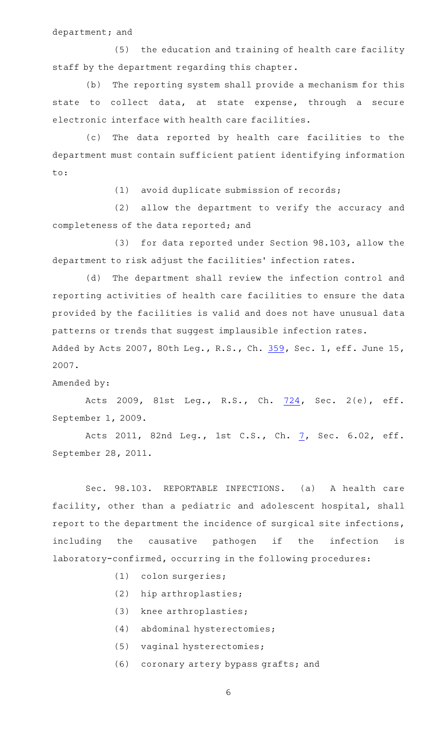department; and

(5) the education and training of health care facility staff by the department regarding this chapter.

(b) The reporting system shall provide a mechanism for this state to collect data, at state expense, through a secure electronic interface with health care facilities.

(c) The data reported by health care facilities to the department must contain sufficient patient identifying information to:

 $(1)$  avoid duplicate submission of records;

(2) allow the department to verify the accuracy and completeness of the data reported; and

(3) for data reported under Section 98.103, allow the department to risk adjust the facilities' infection rates.

(d) The department shall review the infection control and reporting activities of health care facilities to ensure the data provided by the facilities is valid and does not have unusual data patterns or trends that suggest implausible infection rates.

Added by Acts 2007, 80th Leg., R.S., Ch. [359,](http://www.legis.state.tx.us/tlodocs/80R/billtext/html/SB00288F.HTM) Sec. 1, eff. June 15, 2007.

### Amended by:

Acts 2009, 81st Leg., R.S., Ch. [724,](http://www.legis.state.tx.us/tlodocs/81R/billtext/html/SB00203F.HTM) Sec. 2(e), eff. September 1, 2009.

Acts 2011, 82nd Leg., 1st C.S., Ch. [7,](http://www.legis.state.tx.us/tlodocs/821/billtext/html/SB00007F.HTM) Sec. 6.02, eff. September 28, 2011.

Sec. 98.103. REPORTABLE INFECTIONS. (a) A health care facility, other than a pediatric and adolescent hospital, shall report to the department the incidence of surgical site infections, including the causative pathogen if the infection is laboratory-confirmed, occurring in the following procedures:

- (1) colon surgeries;
- (2) hip arthroplasties;
- (3) knee arthroplasties;
- (4) abdominal hysterectomies;
- (5) vaginal hysterectomies;
- (6) coronary artery bypass grafts; and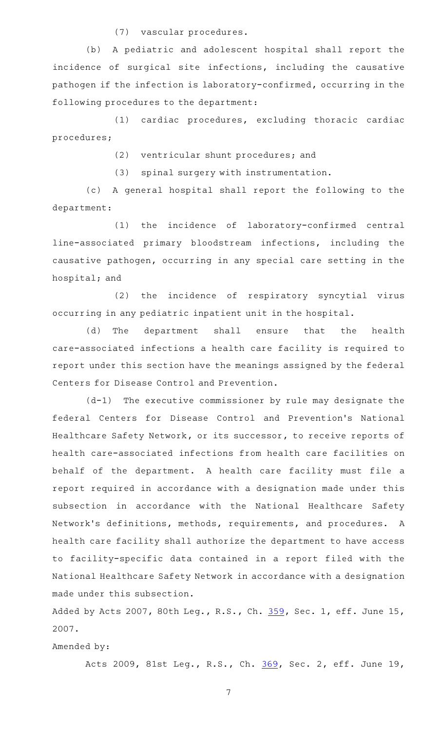(7) vascular procedures.

(b) A pediatric and adolescent hospital shall report the incidence of surgical site infections, including the causative pathogen if the infection is laboratory-confirmed, occurring in the following procedures to the department:

(1) cardiac procedures, excluding thoracic cardiac procedures;

(2) ventricular shunt procedures; and

(3) spinal surgery with instrumentation.

(c)AAA general hospital shall report the following to the department:

(1) the incidence of laboratory-confirmed central line-associated primary bloodstream infections, including the causative pathogen, occurring in any special care setting in the hospital; and

(2) the incidence of respiratory syncytial virus occurring in any pediatric inpatient unit in the hospital.

(d) The department shall ensure that the health care-associated infections a health care facility is required to report under this section have the meanings assigned by the federal Centers for Disease Control and Prevention.

 $(d-1)$  The executive commissioner by rule may designate the federal Centers for Disease Control and Prevention 's National Healthcare Safety Network, or its successor, to receive reports of health care-associated infections from health care facilities on behalf of the department. A health care facility must file a report required in accordance with a designation made under this subsection in accordance with the National Healthcare Safety Network's definitions, methods, requirements, and procedures. A health care facility shall authorize the department to have access to facility-specific data contained in a report filed with the National Healthcare Safety Network in accordance with a designation made under this subsection.

Added by Acts 2007, 80th Leg., R.S., Ch. [359,](http://www.legis.state.tx.us/tlodocs/80R/billtext/html/SB00288F.HTM) Sec. 1, eff. June 15, 2007.

Amended by:

Acts 2009, 81st Leg., R.S., Ch. [369](http://www.legis.state.tx.us/tlodocs/81R/billtext/html/HB01362F.HTM), Sec. 2, eff. June 19,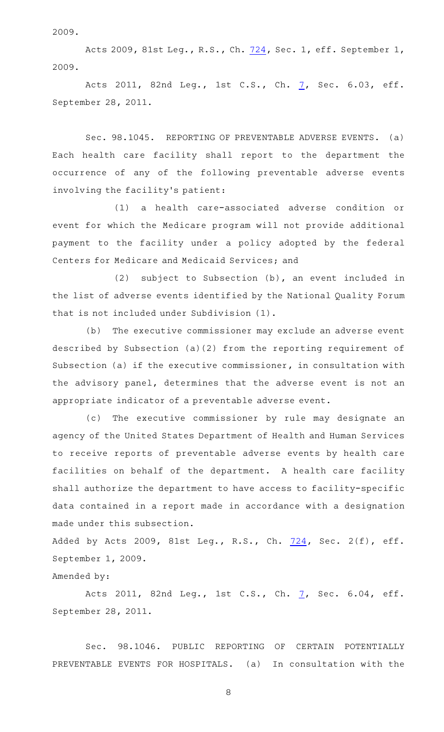2009.

Acts 2009, 81st Leg., R.S., Ch. [724,](http://www.legis.state.tx.us/tlodocs/81R/billtext/html/SB00203F.HTM) Sec. 1, eff. September 1, 2009.

Acts 2011, 82nd Leg., 1st C.S., Ch. [7,](http://www.legis.state.tx.us/tlodocs/821/billtext/html/SB00007F.HTM) Sec. 6.03, eff. September 28, 2011.

Sec. 98.1045. REPORTING OF PREVENTABLE ADVERSE EVENTS. (a) Each health care facility shall report to the department the occurrence of any of the following preventable adverse events involving the facility 's patient:

(1) a health care-associated adverse condition or event for which the Medicare program will not provide additional payment to the facility under a policy adopted by the federal Centers for Medicare and Medicaid Services; and

(2) subject to Subsection  $(b)$ , an event included in the list of adverse events identified by the National Quality Forum that is not included under Subdivision (1).

(b) The executive commissioner may exclude an adverse event described by Subsection (a)(2) from the reporting requirement of Subsection (a) if the executive commissioner, in consultation with the advisory panel, determines that the adverse event is not an appropriate indicator of a preventable adverse event.

(c) The executive commissioner by rule may designate an agency of the United States Department of Health and Human Services to receive reports of preventable adverse events by health care facilities on behalf of the department. A health care facility shall authorize the department to have access to facility-specific data contained in a report made in accordance with a designation made under this subsection.

Added by Acts 2009, 81st Leg., R.S., Ch. [724,](http://www.legis.state.tx.us/tlodocs/81R/billtext/html/SB00203F.HTM) Sec. 2(f), eff. September 1, 2009.

Amended by:

Acts 2011, 82nd Leg., 1st C.S., Ch. [7,](http://www.legis.state.tx.us/tlodocs/821/billtext/html/SB00007F.HTM) Sec. 6.04, eff. September 28, 2011.

Sec. 98.1046. PUBLIC REPORTING OF CERTAIN POTENTIALLY PREVENTABLE EVENTS FOR HOSPITALS. (a) In consultation with the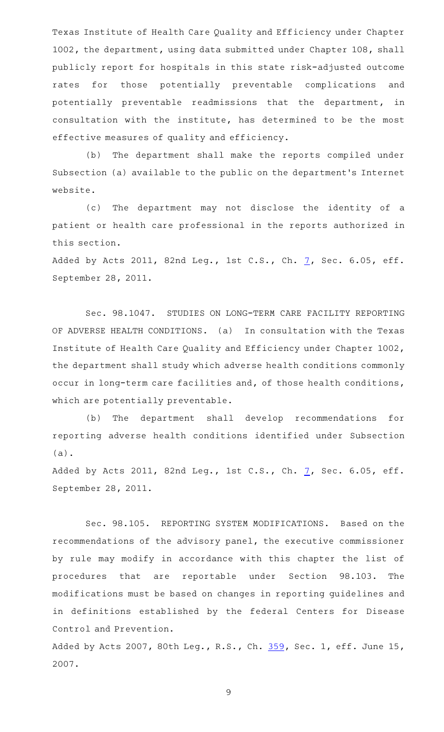Texas Institute of Health Care Quality and Efficiency under Chapter 1002, the department, using data submitted under Chapter 108, shall publicly report for hospitals in this state risk-adjusted outcome rates for those potentially preventable complications and potentially preventable readmissions that the department, in consultation with the institute, has determined to be the most effective measures of quality and efficiency.

(b) The department shall make the reports compiled under Subsection (a) available to the public on the department 's Internet website.

(c) The department may not disclose the identity of a patient or health care professional in the reports authorized in this section.

Added by Acts 2011, 82nd Leg., 1st C.S., Ch. [7](http://www.legis.state.tx.us/tlodocs/821/billtext/html/SB00007F.HTM), Sec. 6.05, eff. September 28, 2011.

Sec. 98.1047. STUDIES ON LONG-TERM CARE FACILITY REPORTING OF ADVERSE HEALTH CONDITIONS. (a) In consultation with the Texas Institute of Health Care Quality and Efficiency under Chapter 1002, the department shall study which adverse health conditions commonly occur in long-term care facilities and, of those health conditions, which are potentially preventable.

(b) The department shall develop recommendations for reporting adverse health conditions identified under Subsection (a).

Added by Acts 2011, 82nd Leg., 1st C.S., Ch.  $7$ , Sec. 6.05, eff. September 28, 2011.

Sec. 98.105. REPORTING SYSTEM MODIFICATIONS. Based on the recommendations of the advisory panel, the executive commissioner by rule may modify in accordance with this chapter the list of procedures that are reportable under Section 98.103. The modifications must be based on changes in reporting guidelines and in definitions established by the federal Centers for Disease Control and Prevention.

Added by Acts 2007, 80th Leg., R.S., Ch. [359,](http://www.legis.state.tx.us/tlodocs/80R/billtext/html/SB00288F.HTM) Sec. 1, eff. June 15, 2007.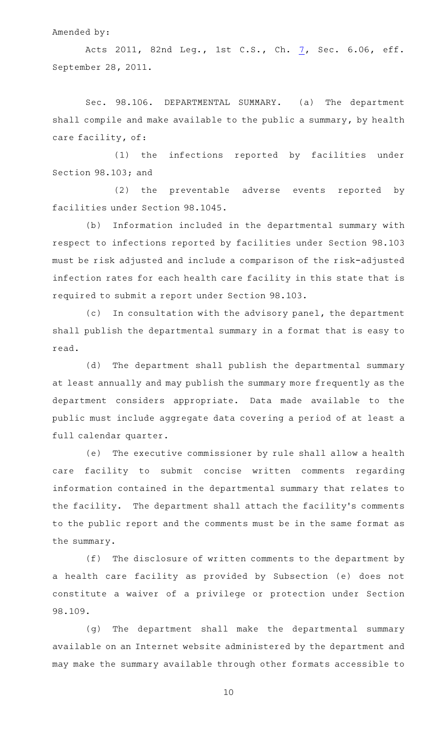Amended by:

Acts 2011, 82nd Leg., 1st C.S., Ch. [7,](http://www.legis.state.tx.us/tlodocs/821/billtext/html/SB00007F.HTM) Sec. 6.06, eff. September 28, 2011.

Sec. 98.106. DEPARTMENTAL SUMMARY. (a) The department shall compile and make available to the public a summary, by health care facility, of:

(1) the infections reported by facilities under Section 98.103; and

(2) the preventable adverse events reported by facilities under Section 98.1045.

(b) Information included in the departmental summary with respect to infections reported by facilities under Section 98.103 must be risk adjusted and include a comparison of the risk-adjusted infection rates for each health care facility in this state that is required to submit a report under Section 98.103.

(c) In consultation with the advisory panel, the department shall publish the departmental summary in a format that is easy to read.

(d) The department shall publish the departmental summary at least annually and may publish the summary more frequently as the department considers appropriate. Data made available to the public must include aggregate data covering a period of at least a full calendar quarter.

(e) The executive commissioner by rule shall allow a health care facility to submit concise written comments regarding information contained in the departmental summary that relates to the facility. The department shall attach the facility's comments to the public report and the comments must be in the same format as the summary.

 $(f)$  The disclosure of written comments to the department by a health care facility as provided by Subsection (e) does not constitute a waiver of a privilege or protection under Section 98.109.

(g) The department shall make the departmental summary available on an Internet website administered by the department and may make the summary available through other formats accessible to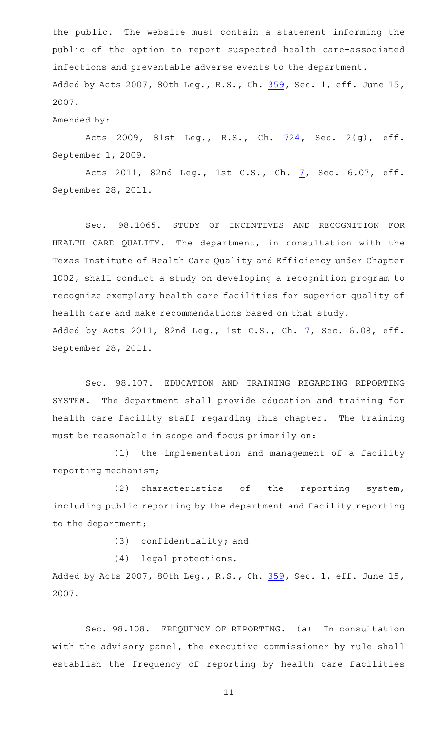the public. The website must contain a statement informing the public of the option to report suspected health care-associated infections and preventable adverse events to the department. Added by Acts 2007, 80th Leg., R.S., Ch. [359,](http://www.legis.state.tx.us/tlodocs/80R/billtext/html/SB00288F.HTM) Sec. 1, eff. June 15, 2007.

## Amended by:

Acts 2009, 81st Leg., R.S., Ch. [724,](http://www.legis.state.tx.us/tlodocs/81R/billtext/html/SB00203F.HTM) Sec. 2(g), eff. September 1, 2009.

Acts 2011, 82nd Leg., 1st C.S., Ch. [7,](http://www.legis.state.tx.us/tlodocs/821/billtext/html/SB00007F.HTM) Sec. 6.07, eff. September 28, 2011.

Sec. 98.1065. STUDY OF INCENTIVES AND RECOGNITION FOR HEALTH CARE QUALITY. The department, in consultation with the Texas Institute of Health Care Quality and Efficiency under Chapter 1002, shall conduct a study on developing a recognition program to recognize exemplary health care facilities for superior quality of health care and make recommendations based on that study. Added by Acts 2011, 82nd Leg., 1st C.S., Ch.  $7$ , Sec. 6.08, eff. September 28, 2011.

Sec. 98.107. EDUCATION AND TRAINING REGARDING REPORTING SYSTEM. The department shall provide education and training for health care facility staff regarding this chapter. The training must be reasonable in scope and focus primarily on:

(1) the implementation and management of a facility reporting mechanism;

 $(2)$  characteristics of the reporting system, including public reporting by the department and facility reporting to the department;

 $(3)$  confidentiality; and

(4) legal protections.

Added by Acts 2007, 80th Leg., R.S., Ch. [359,](http://www.legis.state.tx.us/tlodocs/80R/billtext/html/SB00288F.HTM) Sec. 1, eff. June 15, 2007.

Sec. 98.108. FREQUENCY OF REPORTING. (a) In consultation with the advisory panel, the executive commissioner by rule shall establish the frequency of reporting by health care facilities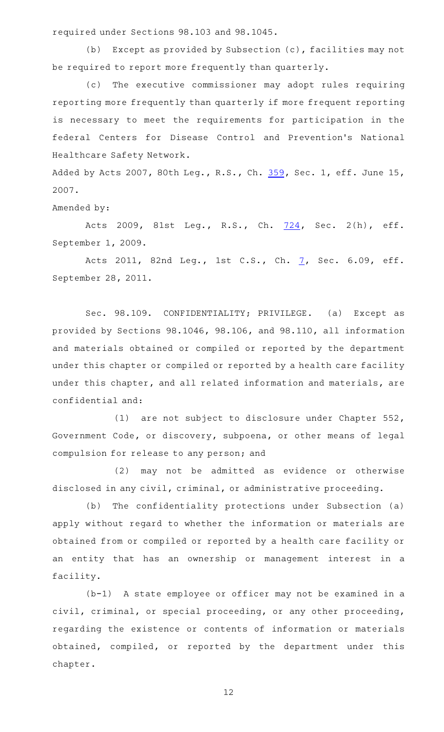required under Sections 98.103 and 98.1045.

(b) Except as provided by Subsection  $(c)$ , facilities may not be required to report more frequently than quarterly.

(c) The executive commissioner may adopt rules requiring reporting more frequently than quarterly if more frequent reporting is necessary to meet the requirements for participation in the federal Centers for Disease Control and Prevention 's National Healthcare Safety Network.

Added by Acts 2007, 80th Leg., R.S., Ch. [359,](http://www.legis.state.tx.us/tlodocs/80R/billtext/html/SB00288F.HTM) Sec. 1, eff. June 15, 2007.

Amended by:

Acts 2009, 81st Leg., R.S., Ch. [724,](http://www.legis.state.tx.us/tlodocs/81R/billtext/html/SB00203F.HTM) Sec. 2(h), eff. September 1, 2009.

Acts 2011, 82nd Leg., 1st C.S., Ch. [7,](http://www.legis.state.tx.us/tlodocs/821/billtext/html/SB00007F.HTM) Sec. 6.09, eff. September 28, 2011.

Sec. 98.109. CONFIDENTIALITY; PRIVILEGE. (a) Except as provided by Sections 98.1046, 98.106, and 98.110, all information and materials obtained or compiled or reported by the department under this chapter or compiled or reported by a health care facility under this chapter, and all related information and materials, are confidential and:

(1) are not subject to disclosure under Chapter  $552$ , Government Code, or discovery, subpoena, or other means of legal compulsion for release to any person; and

(2) may not be admitted as evidence or otherwise disclosed in any civil, criminal, or administrative proceeding.

(b) The confidentiality protections under Subsection (a) apply without regard to whether the information or materials are obtained from or compiled or reported by a health care facility or an entity that has an ownership or management interest in a facility.

(b-1) A state employee or officer may not be examined in a civil, criminal, or special proceeding, or any other proceeding, regarding the existence or contents of information or materials obtained, compiled, or reported by the department under this chapter.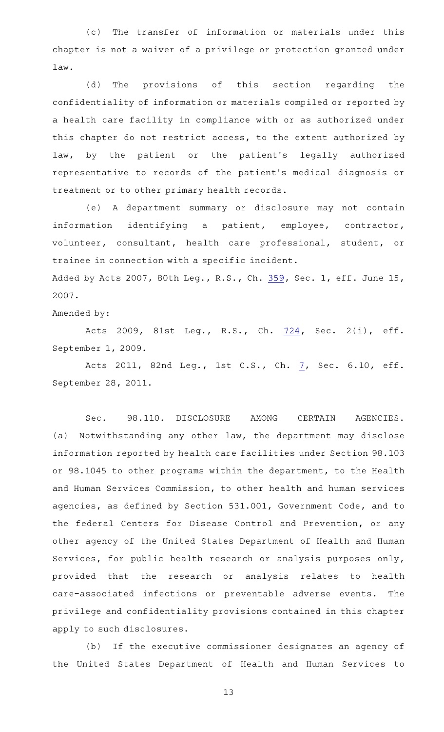(c) The transfer of information or materials under this chapter is not a waiver of a privilege or protection granted under law.

(d) The provisions of this section regarding the confidentiality of information or materials compiled or reported by a health care facility in compliance with or as authorized under this chapter do not restrict access, to the extent authorized by law, by the patient or the patient's legally authorized representative to records of the patient 's medical diagnosis or treatment or to other primary health records.

(e)AAA department summary or disclosure may not contain information identifying a patient, employee, contractor, volunteer, consultant, health care professional, student, or trainee in connection with a specific incident.

Added by Acts 2007, 80th Leg., R.S., Ch. [359,](http://www.legis.state.tx.us/tlodocs/80R/billtext/html/SB00288F.HTM) Sec. 1, eff. June 15, 2007.

Amended by:

Acts 2009, 81st Leg., R.S., Ch. [724,](http://www.legis.state.tx.us/tlodocs/81R/billtext/html/SB00203F.HTM) Sec. 2(i), eff. September 1, 2009.

Acts 2011, 82nd Leg., 1st C.S., Ch. [7,](http://www.legis.state.tx.us/tlodocs/821/billtext/html/SB00007F.HTM) Sec. 6.10, eff. September 28, 2011.

Sec. 98.110. DISCLOSURE AMONG CERTAIN AGENCIES. (a) Notwithstanding any other law, the department may disclose information reported by health care facilities under Section 98.103 or 98.1045 to other programs within the department, to the Health and Human Services Commission, to other health and human services agencies, as defined by Section 531.001, Government Code, and to the federal Centers for Disease Control and Prevention, or any other agency of the United States Department of Health and Human Services, for public health research or analysis purposes only, provided that the research or analysis relates to health care-associated infections or preventable adverse events. The privilege and confidentiality provisions contained in this chapter apply to such disclosures.

(b) If the executive commissioner designates an agency of the United States Department of Health and Human Services to